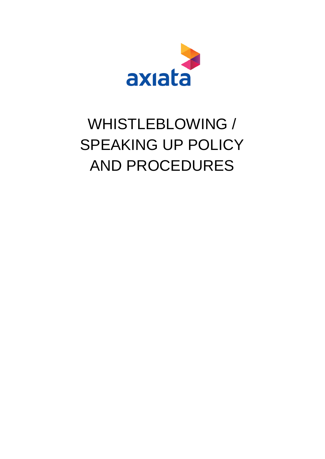

# WHISTLEBLOWING / SPEAKING UP POLICY AND PROCEDURES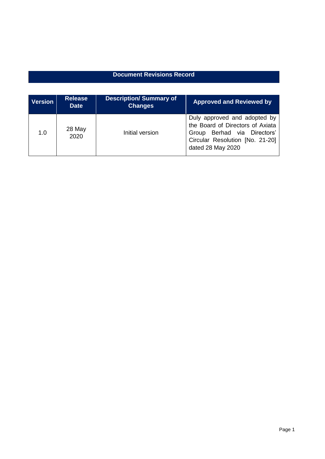### **Document Revisions Record**

| <b>Version</b> | <b>Release</b><br><b>Date</b> | <b>Description/Summary of</b><br><b>Changes</b> | <b>Approved and Reviewed by</b>                                                                                                                         |
|----------------|-------------------------------|-------------------------------------------------|---------------------------------------------------------------------------------------------------------------------------------------------------------|
| 1.0            | 28 May<br>2020                | Initial version                                 | Duly approved and adopted by<br>the Board of Directors of Axiata<br>Group Berhad via Directors'<br>Circular Resolution [No. 21-20]<br>dated 28 May 2020 |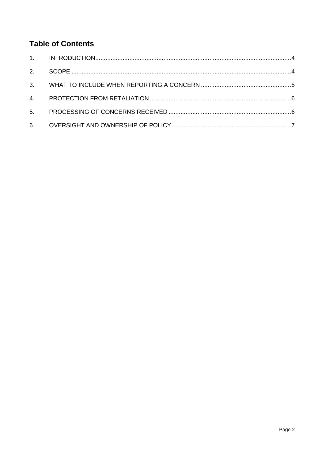## **Table of Contents**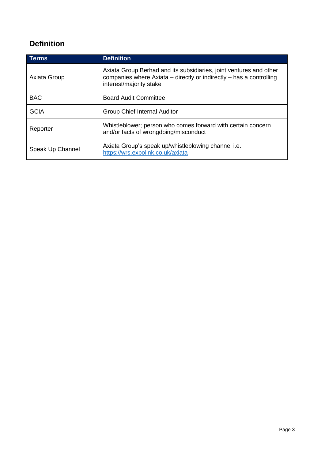## <span id="page-3-0"></span>**Definition**

| <b>Terms</b>     | <b>Definition</b>                                                                                                                                                    |  |
|------------------|----------------------------------------------------------------------------------------------------------------------------------------------------------------------|--|
| Axiata Group     | Axiata Group Berhad and its subsidiaries, joint ventures and other<br>companies where Axiata - directly or indirectly - has a controlling<br>interest/majority stake |  |
| <b>BAC</b>       | <b>Board Audit Committee</b>                                                                                                                                         |  |
| <b>GCIA</b>      | <b>Group Chief Internal Auditor</b>                                                                                                                                  |  |
| Reporter         | Whistleblower; person who comes forward with certain concern<br>and/or facts of wrongdoing/misconduct                                                                |  |
| Speak Up Channel | Axiata Group's speak up/whistleblowing channel i.e.<br>https://wrs.expolink.co.uk/axiata                                                                             |  |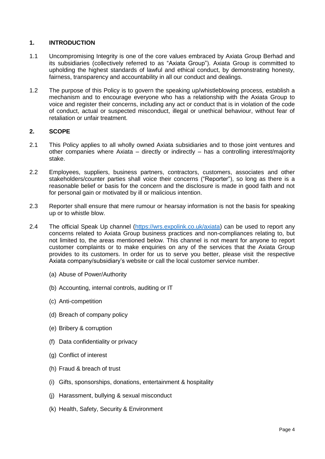#### **1. INTRODUCTION**

- 1.1 Uncompromising Integrity is one of the core values embraced by Axiata Group Berhad and its subsidiaries (collectively referred to as "Axiata Group"). Axiata Group is committed to upholding the highest standards of lawful and ethical conduct, by demonstrating honesty, fairness, transparency and accountability in all our conduct and dealings.
- 1.2 The purpose of this Policy is to govern the speaking up/whistleblowing process, establish a mechanism and to encourage everyone who has a relationship with the Axiata Group to voice and register their concerns, including any act or conduct that is in violation of the code of conduct, actual or suspected misconduct, illegal or unethical behaviour, without fear of retaliation or unfair treatment.

#### <span id="page-4-0"></span>**2. SCOPE**

- 2.1 This Policy applies to all wholly owned Axiata subsidiaries and to those joint ventures and other companies where Axiata – directly or indirectly – has a controlling interest/majority stake.
- 2.2 Employees, suppliers, business partners, contractors, customers, associates and other stakeholders/counter parties shall voice their concerns ("Reporter"), so long as there is a reasonable belief or basis for the concern and the disclosure is made in good faith and not for personal gain or motivated by ill or malicious intention.
- 2.3 Reporter shall ensure that mere rumour or hearsay information is not the basis for speaking up or to whistle blow.
- 2.4 The official Speak Up channel [\(https://wrs.expolink.co.uk/axiata\)](https://wrs.expolink.co.uk/axiata) can be used to report any concerns related to Axiata Group business practices and non-compliances relating to, but not limited to, the areas mentioned below. This channel is not meant for anyone to report customer complaints or to make enquiries on any of the services that the Axiata Group provides to its customers. In order for us to serve you better, please visit the respective Axiata company/subsidiary's website or call the local customer service number.
	- (a) Abuse of Power/Authority
	- (b) Accounting, internal controls, auditing or IT
	- (c) Anti-competition
	- (d) Breach of company policy
	- (e) Bribery & corruption
	- (f) Data confidentiality or privacy
	- (g) Conflict of interest
	- (h) Fraud & breach of trust
	- (i) Gifts, sponsorships, donations, entertainment & hospitality
	- (j) Harassment, bullying & sexual misconduct
	- (k) Health, Safety, Security & Environment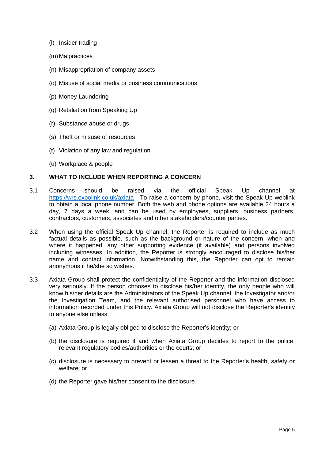- (l) Insider trading
- (m) Malpractices
- (n) Misappropriation of company assets
- (o) Misuse of social media or business communications
- (p) Money Laundering
- (q) Retaliation from Speaking Up
- (r) Substance abuse or drugs
- (s) Theft or misuse of resources
- (t) Violation of any law and regulation
- (u) Workplace & people

#### <span id="page-5-0"></span>**3. WHAT TO INCLUDE WHEN REPORTING A CONCERN**

- 3.1 Concerns should be raised via the official Speak Up channel at <https://wrs.expolink.co.uk/axiata> . To raise a concern by phone, visit the Speak Up weblink to obtain a local phone number. Both the web and phone options are available 24 hours a day, 7 days a week, and can be used by employees, suppliers, business partners, contractors, customers, associates and other stakeholders/counter parties.
- 3.2 When using the official Speak Up channel, the Reporter is required to include as much factual details as possible, such as the background or nature of the concern, when and where it happened, any other supporting evidence (if available) and persons involved including witnesses. In addition, the Reporter is strongly encouraged to disclose his/her name and contact information. Notwithstanding this, the Reporter can opt to remain anonymous if he/she so wishes.
- 3.3 Axiata Group shall protect the confidentiality of the Reporter and the information disclosed very seriously. If the person chooses to disclose his/her identity, the only people who will know his/her details are the Administrators of the Speak Up channel, the Investigator and/or the Investigation Team, and the relevant authorised personnel who have access to information recorded under this Policy. Axiata Group will not disclose the Reporter's identity to anyone else unless:
	- (a) Axiata Group is legally obliged to disclose the Reporter's identity; or
	- (b) the disclosure is required if and when Axiata Group decides to report to the police, relevant regulatory bodies/authorities or the courts; or
	- (c) disclosure is necessary to prevent or lessen a threat to the Reporter's health, safety or welfare; or
	- (d) the Reporter gave his/her consent to the disclosure.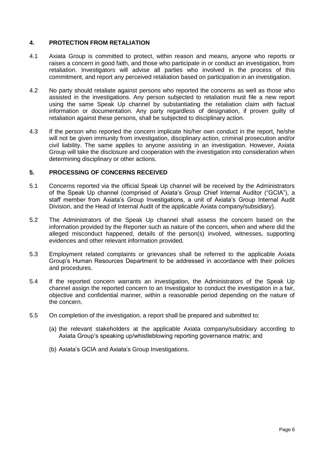#### <span id="page-6-0"></span>**4. PROTECTION FROM RETALIATION**

- 4.1 Axiata Group is committed to protect, within reason and means, anyone who reports or raises a concern in good faith, and those who participate in or conduct an investigation, from retaliation. Investigators will advise all parties who involved in the process of this commitment, and report any perceived retaliation based on participation in an investigation.
- 4.2 No party should retaliate against persons who reported the concerns as well as those who assisted in the investigations. Any person subjected to retaliation must file a new report using the same Speak Up channel by substantiating the retaliation claim with factual information or documentation. Any party regardless of designation, if proven guilty of retaliation against these persons, shall be subjected to disciplinary action.
- 4.3 If the person who reported the concern implicate his/her own conduct in the report, he/she will not be given immunity from investigation, disciplinary action, criminal prosecution and/or civil liability. The same applies to anyone assisting in an investigation. However, Axiata Group will take the disclosure and cooperation with the investigation into consideration when determining disciplinary or other actions.

#### <span id="page-6-1"></span>**5. PROCESSING OF CONCERNS RECEIVED**

- 5.1 Concerns reported via the official Speak Up channel will be received by the Administrators of the Speak Up channel (comprised of Axiata's Group Chief Internal Auditor ("GCIA"), a staff member from Axiata's Group Investigations, a unit of Axiata's Group Internal Audit Division, and the Head of Internal Audit of the applicable Axiata company/subsidiary).
- 5.2 The Administrators of the Speak Up channel shall assess the concern based on the information provided by the Reporter such as nature of the concern, when and where did the alleged misconduct happened, details of the person(s) involved, witnesses, supporting evidences and other relevant information provided.
- 5.3 Employment related complaints or grievances shall be referred to the applicable Axiata Group's Human Resources Department to be addressed in accordance with their policies and procedures.
- 5.4 If the reported concern warrants an investigation, the Administrators of the Speak Up channel assign the reported concern to an Investigator to conduct the investigation in a fair, objective and confidential manner, within a reasonable period depending on the nature of the concern.
- 5.5 On completion of the investigation, a report shall be prepared and submitted to:
	- (a) the relevant stakeholders at the applicable Axiata company/subsidiary according to Axiata Group's speaking up/whistleblowing reporting governance matrix; and
	- (b) Axiata's GCIA and Axiata's Group Investigations.